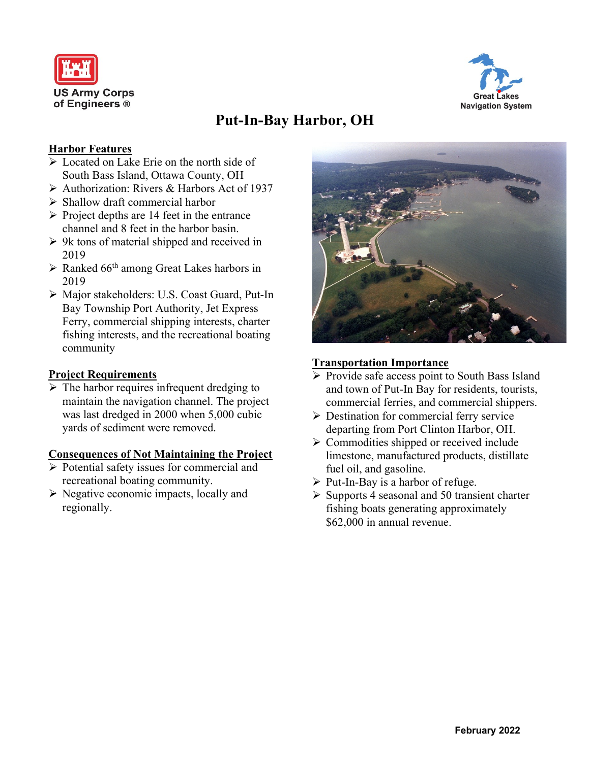



# **Put-In-Bay Harbor, OH**

# **Harbor Features**

- ➢ Located on Lake Erie on the north side of South Bass Island, Ottawa County, OH
- ➢ Authorization: Rivers & Harbors Act of 1937
- ➢ Shallow draft commercial harbor
- $\triangleright$  Project depths are 14 feet in the entrance channel and 8 feet in the harbor basin.
- ➢ 9k tons of material shipped and received in 2019
- ➢ Ranked 66 th among Great Lakes harbors in 2019
- ➢ Major stakeholders: U.S. Coast Guard, Put-In Bay Township Port Authority, Jet Express Ferry, commercial shipping interests, charter fishing interests, and the recreational boating community

# **Project Requirements**

 $\triangleright$  The harbor requires infrequent dredging to maintain the navigation channel. The project was last dredged in 2000 when 5,000 cubic yards of sediment were removed.

#### **Consequences of Not Maintaining the Project**

- ➢ Potential safety issues for commercial and recreational boating community.
- ➢ Negative economic impacts, locally and regionally.



#### **Transportation Importance**

- ➢ Provide safe access point to South Bass Island and town of Put-In Bay for residents, tourists, commercial ferries, and commercial shippers.
- ➢ Destination for commercial ferry service departing from Port Clinton Harbor, OH.
- ➢ Commodities shipped or received include limestone, manufactured products, distillate fuel oil, and gasoline.
- $\triangleright$  Put-In-Bay is a harbor of refuge.
- $\triangleright$  Supports 4 seasonal and 50 transient charter fishing boats generating approximately \$62,000 in annual revenue.